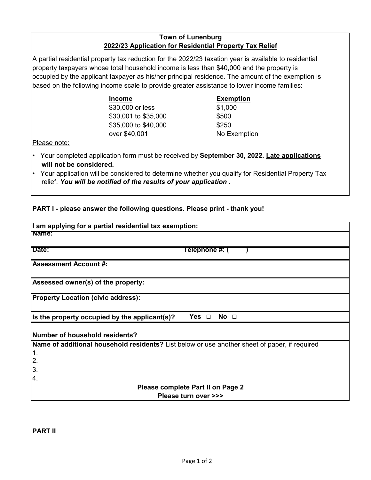## **Town of Lunenburg 2022/23 Application for Residential Property Tax Relief**

A partial residential property tax reduction for the 2022/23 taxation year is available to residential property taxpayers whose total household income is less than \$40,000 and the property is occupied by the applicant taxpayer as his/her principal residence. The amount of the exemption is based on the following income scale to provide greater assistance to lower income families:

| <b>Income</b>        | Exen   |
|----------------------|--------|
| \$30,000 or less     | \$1,00 |
| \$30,001 to \$35,000 | \$500  |
| \$35,000 to \$40,000 | \$250  |
| over \$40,001        | No F   |

## **Exemption** \$1,000 No Exemption

Please note:

- Your completed application form must be received by **September 30, 2022. Late applications will not be considered.**
- Your application will be considered to determine whether you qualify for Residential Property Tax relief. *You will be notified of the results of your application .*

## **PART I - please answer the following questions. Please print - thank you!**

| I am applying for a partial residential tax exemption:                                        |  |  |  |
|-----------------------------------------------------------------------------------------------|--|--|--|
| Name:                                                                                         |  |  |  |
| Date:<br>Telephone #: (                                                                       |  |  |  |
| <b>Assessment Account #:</b>                                                                  |  |  |  |
| Assessed owner(s) of the property:                                                            |  |  |  |
| <b>Property Location (civic address):</b>                                                     |  |  |  |
| No <sub>1</sub><br>Is the property occupied by the applicant(s)?                              |  |  |  |
| Number of household residents?                                                                |  |  |  |
| Name of additional household residents? List below or use another sheet of paper, if required |  |  |  |
| $\vert$ 1.<br>$\overline{2}$                                                                  |  |  |  |
| 3.<br>Ι4.                                                                                     |  |  |  |
| Please complete Part II on Page 2                                                             |  |  |  |
| Please turn over >>>                                                                          |  |  |  |